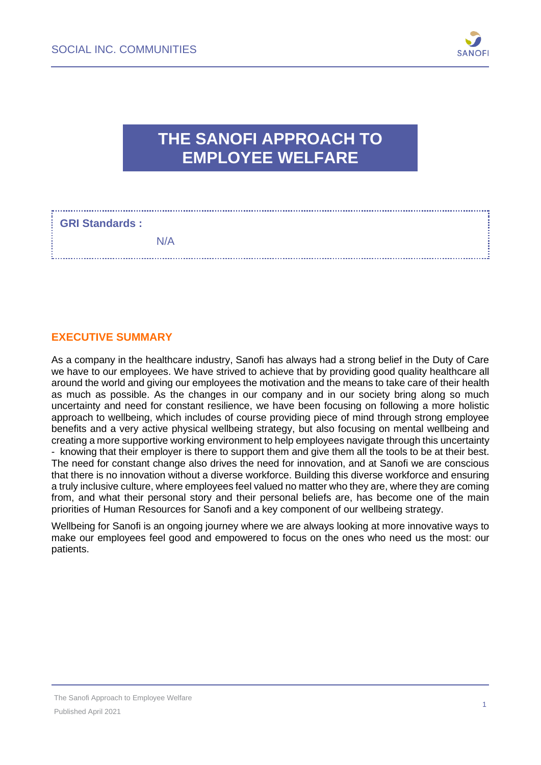

# **THE SANOFI APPROACH TO EMPLOYEE WELFARE**

# **GRI Standards :**

N/A 

#### **EXECUTIVE SUMMARY**

As a company in the healthcare industry, Sanofi has always had a strong belief in the Duty of Care we have to our employees. We have strived to achieve that by providing good quality healthcare all around the world and giving our employees the motivation and the means to take care of their health as much as possible. As the changes in our company and in our society bring along so much uncertainty and need for constant resilience, we have been focusing on following a more holistic approach to wellbeing, which includes of course providing piece of mind through strong employee benefits and a very active physical wellbeing strategy, but also focusing on mental wellbeing and creating a more supportive working environment to help employees navigate through this uncertainty - knowing that their employer is there to support them and give them all the tools to be at their best. The need for constant change also drives the need for innovation, and at Sanofi we are conscious that there is no innovation without a diverse workforce. Building this diverse workforce and ensuring a truly inclusive culture, where employees feel valued no matter who they are, where they are coming from, and what their personal story and their personal beliefs are, has become one of the main priorities of Human Resources for Sanofi and a key component of our wellbeing strategy.

Wellbeing for Sanofi is an ongoing journey where we are always looking at more innovative ways to make our employees feel good and empowered to focus on the ones who need us the most: our patients.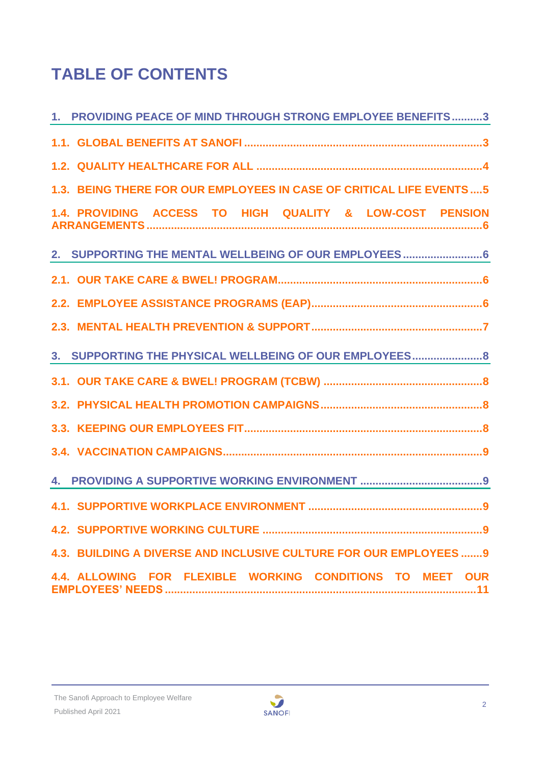# **TABLE OF CONTENTS**

| 1. PROVIDING PEACE OF MIND THROUGH STRONG EMPLOYEE BENEFITS3        |
|---------------------------------------------------------------------|
|                                                                     |
|                                                                     |
| 1.3. BEING THERE FOR OUR EMPLOYEES IN CASE OF CRITICAL LIFE EVENTS5 |
| 1.4. PROVIDING ACCESS TO HIGH QUALITY & LOW-COST PENSION            |
| 2. SUPPORTING THE MENTAL WELLBEING OF OUR EMPLOYEES  6              |
|                                                                     |
|                                                                     |
|                                                                     |
| 3. SUPPORTING THE PHYSICAL WELLBEING OF OUR EMPLOYEES 8             |
|                                                                     |
|                                                                     |
|                                                                     |
|                                                                     |
|                                                                     |
|                                                                     |
|                                                                     |
| 4.3. BUILDING A DIVERSE AND INCLUSIVE CULTURE FOR OUR EMPLOYEES 9   |
| 4.4. ALLOWING FOR FLEXIBLE WORKING CONDITIONS TO MEET OUR           |

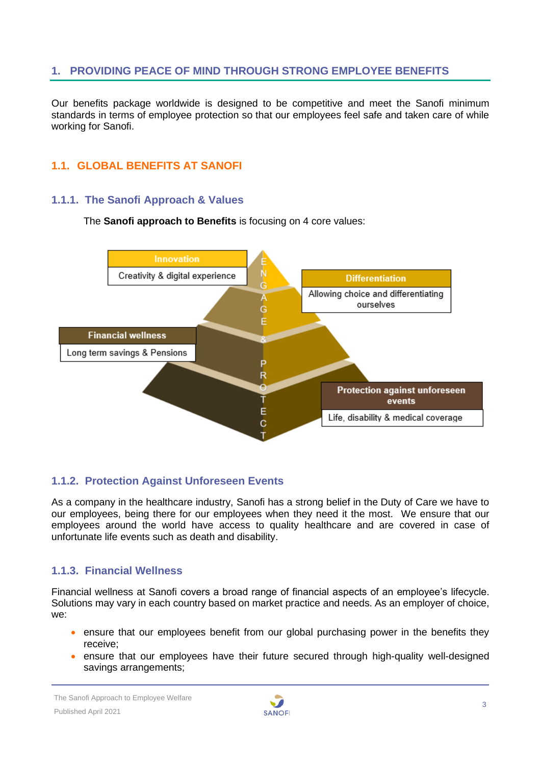# <span id="page-2-0"></span>**1. PROVIDING PEACE OF MIND THROUGH STRONG EMPLOYEE BENEFITS**

Our benefits package worldwide is designed to be competitive and meet the Sanofi minimum standards in terms of employee protection so that our employees feel safe and taken care of while working for Sanofi.

# <span id="page-2-1"></span>**1.1. GLOBAL BENEFITS AT SANOFI**

#### **1.1.1. The Sanofi Approach & Values**

The **Sanofi approach to Benefits** is focusing on 4 core values:



#### **1.1.2. Protection Against Unforeseen Events**

As a company in the healthcare industry, Sanofi has a strong belief in the Duty of Care we have to our employees, being there for our employees when they need it the most. We ensure that our employees around the world have access to quality healthcare and are covered in case of unfortunate life events such as death and disability.

#### **1.1.3. Financial Wellness**

Financial wellness at Sanofi covers a broad range of financial aspects of an employee's lifecycle. Solutions may vary in each country based on market practice and needs. As an employer of choice, we:

- ensure that our employees benefit from our global purchasing power in the benefits they receive;
- ensure that our employees have their future secured through high-quality well-designed savings arrangements;

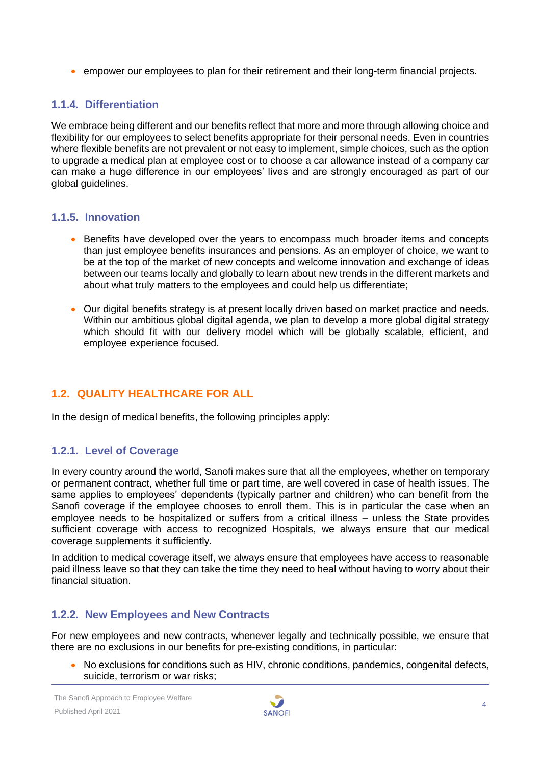• empower our employees to plan for their retirement and their long-term financial projects.

# **1.1.4. Differentiation**

We embrace being different and our benefits reflect that more and more through allowing choice and flexibility for our employees to select benefits appropriate for their personal needs. Even in countries where flexible benefits are not prevalent or not easy to implement, simple choices, such as the option to upgrade a medical plan at employee cost or to choose a car allowance instead of a company car can make a huge difference in our employees' lives and are strongly encouraged as part of our global quidelines.

#### **1.1.5. Innovation**

- Benefits have developed over the years to encompass much broader items and concepts than just employee benefits insurances and pensions. As an employer of choice, we want to be at the top of the market of new concepts and welcome innovation and exchange of ideas between our teams locally and globally to learn about new trends in the different markets and about what truly matters to the employees and could help us differentiate;
- Our digital benefits strategy is at present locally driven based on market practice and needs. Within our ambitious global digital agenda, we plan to develop a more global digital strategy which should fit with our delivery model which will be globally scalable, efficient, and employee experience focused.

#### <span id="page-3-0"></span>**1.2. QUALITY HEALTHCARE FOR ALL**

In the design of medical benefits, the following principles apply:

#### **1.2.1. Level of Coverage**

In every country around the world, Sanofi makes sure that all the employees, whether on temporary or permanent contract, whether full time or part time, are well covered in case of health issues. The same applies to employees' dependents (typically partner and children) who can benefit from the Sanofi coverage if the employee chooses to enroll them. This is in particular the case when an employee needs to be hospitalized or suffers from a critical illness – unless the State provides sufficient coverage with access to recognized Hospitals, we always ensure that our medical coverage supplements it sufficiently.

In addition to medical coverage itself, we always ensure that employees have access to reasonable paid illness leave so that they can take the time they need to heal without having to worry about their financial situation.

#### **1.2.2. New Employees and New Contracts**

For new employees and new contracts, whenever legally and technically possible, we ensure that there are no exclusions in our benefits for pre-existing conditions, in particular:

• No exclusions for conditions such as HIV, chronic conditions, pandemics, congenital defects, suicide, terrorism or war risks;

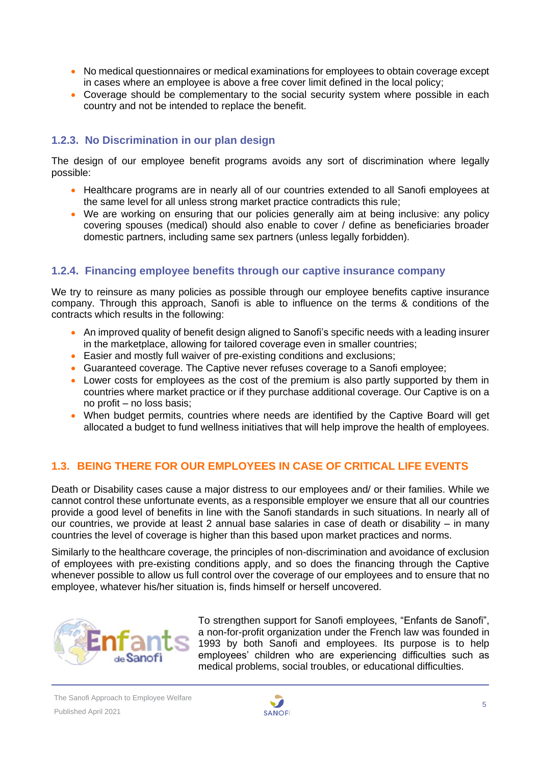- No medical questionnaires or medical examinations for employees to obtain coverage except in cases where an employee is above a free cover limit defined in the local policy;
- Coverage should be complementary to the social security system where possible in each country and not be intended to replace the benefit.

# **1.2.3. No Discrimination in our plan design**

The design of our employee benefit programs avoids any sort of discrimination where legally possible:

- Healthcare programs are in nearly all of our countries extended to all Sanofi employees at the same level for all unless strong market practice contradicts this rule;
- We are working on ensuring that our policies generally aim at being inclusive: any policy covering spouses (medical) should also enable to cover / define as beneficiaries broader domestic partners, including same sex partners (unless legally forbidden).

#### **1.2.4. Financing employee benefits through our captive insurance company**

We try to reinsure as many policies as possible through our employee benefits captive insurance company. Through this approach, Sanofi is able to influence on the terms & conditions of the contracts which results in the following:

- An improved quality of benefit design aligned to Sanofi's specific needs with a leading insurer in the marketplace, allowing for tailored coverage even in smaller countries;
- Easier and mostly full waiver of pre-existing conditions and exclusions;
- Guaranteed coverage. The Captive never refuses coverage to a Sanofi employee;
- Lower costs for employees as the cost of the premium is also partly supported by them in countries where market practice or if they purchase additional coverage. Our Captive is on a no profit – no loss basis;
- When budget permits, countries where needs are identified by the Captive Board will get allocated a budget to fund wellness initiatives that will help improve the health of employees.

#### <span id="page-4-0"></span>**1.3. BEING THERE FOR OUR EMPLOYEES IN CASE OF CRITICAL LIFE EVENTS**

Death or Disability cases cause a major distress to our employees and/ or their families. While we cannot control these unfortunate events, as a responsible employer we ensure that all our countries provide a good level of benefits in line with the Sanofi standards in such situations. In nearly all of our countries, we provide at least 2 annual base salaries in case of death or disability – in many countries the level of coverage is higher than this based upon market practices and norms.

Similarly to the healthcare coverage, the principles of non-discrimination and avoidance of exclusion of employees with pre-existing conditions apply, and so does the financing through the Captive whenever possible to allow us full control over the coverage of our employees and to ensure that no employee, whatever his/her situation is, finds himself or herself uncovered.



To strengthen support for Sanofi employees, "Enfants de Sanofi", a non-for-profit organization under the French law was founded in 1993 by both Sanofi and employees. Its purpose is to help employees' children who are experiencing difficulties such as medical problems, social troubles, or educational difficulties.

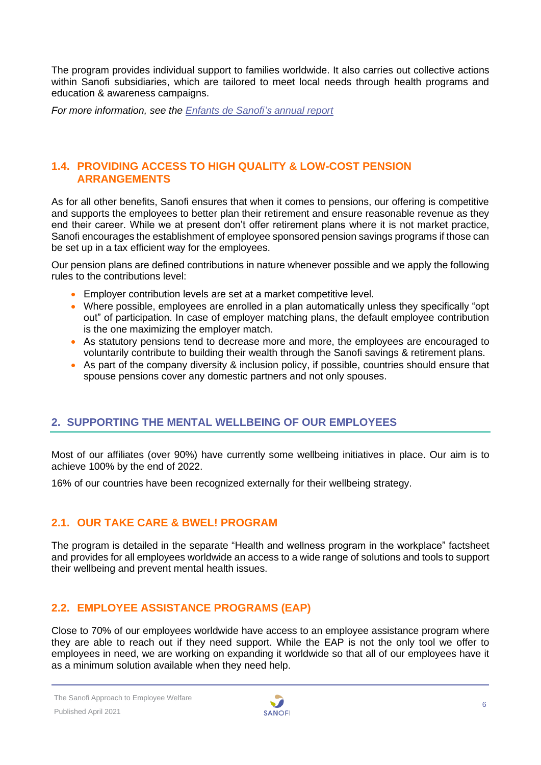The program provides individual support to families worldwide. It also carries out collective actions within Sanofi subsidiaries, which are tailored to meet local needs through health programs and education & awareness campaigns.

*For more information, see the [Enfants de Sanofi's](https://www.sanofi.com/-/media/Project/One-Sanofi-Web/Websites/Global/Sanofi-COM/Home/common/docs/our-responsibility/documents-center/factsheets-pdf5-2020/Enfants-de-Sanofi-Annual-Report-2019.pdf?la=en) annual report*

#### <span id="page-5-0"></span>**1.4. PROVIDING ACCESS TO HIGH QUALITY & LOW-COST PENSION ARRANGEMENTS**

As for all other benefits, Sanofi ensures that when it comes to pensions, our offering is competitive and supports the employees to better plan their retirement and ensure reasonable revenue as they end their career. While we at present don't offer retirement plans where it is not market practice, Sanofi encourages the establishment of employee sponsored pension savings programs if those can be set up in a tax efficient way for the employees.

Our pension plans are defined contributions in nature whenever possible and we apply the following rules to the contributions level:

- Employer contribution levels are set at a market competitive level.
- Where possible, employees are enrolled in a plan automatically unless they specifically "opt out" of participation. In case of employer matching plans, the default employee contribution is the one maximizing the employer match.
- As statutory pensions tend to decrease more and more, the employees are encouraged to voluntarily contribute to building their wealth through the Sanofi savings & retirement plans.
- As part of the company diversity & inclusion policy, if possible, countries should ensure that spouse pensions cover any domestic partners and not only spouses.

#### <span id="page-5-1"></span>**2. SUPPORTING THE MENTAL WELLBEING OF OUR EMPLOYEES**

Most of our affiliates (over 90%) have currently some wellbeing initiatives in place. Our aim is to achieve 100% by the end of 2022.

<span id="page-5-2"></span>16% of our countries have been recognized externally for their wellbeing strategy.

#### **2.1. OUR TAKE CARE & BWEL! PROGRAM**

The program is detailed in the separate "Health and wellness program in the workplace" factsheet and provides for all employees worldwide an access to a wide range of solutions and tools to support their wellbeing and prevent mental health issues.

#### <span id="page-5-3"></span>**2.2. EMPLOYEE ASSISTANCE PROGRAMS (EAP)**

Close to 70% of our employees worldwide have access to an employee assistance program where they are able to reach out if they need support. While the EAP is not the only tool we offer to employees in need, we are working on expanding it worldwide so that all of our employees have it as a minimum solution available when they need help.

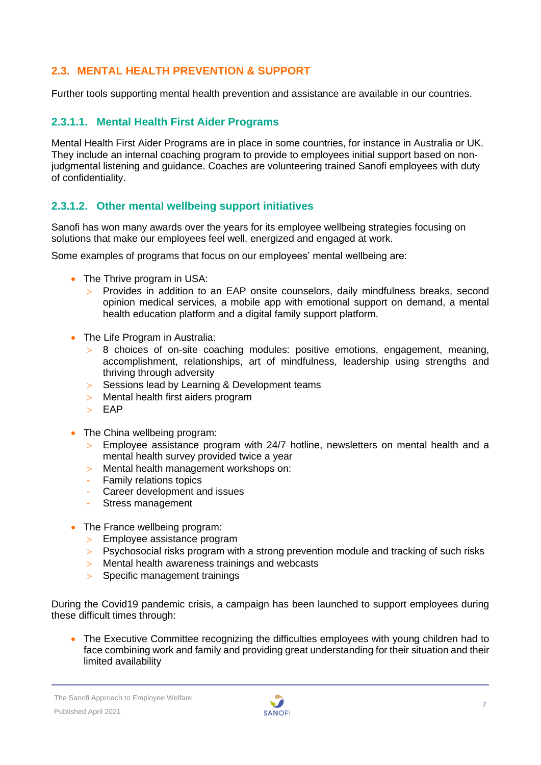# <span id="page-6-0"></span>**2.3. MENTAL HEALTH PREVENTION & SUPPORT**

Further tools supporting mental health prevention and assistance are available in our countries.

# **2.3.1.1. Mental Health First Aider Programs**

Mental Health First Aider Programs are in place in some countries, for instance in Australia or UK. They include an internal coaching program to provide to employees initial support based on nonjudgmental listening and guidance. Coaches are volunteering trained Sanofi employees with duty of confidentiality.

#### **2.3.1.2. Other mental wellbeing support initiatives**

Sanofi has won many awards over the years for its employee wellbeing strategies focusing on solutions that make our employees feel well, energized and engaged at work.

Some examples of programs that focus on our employees' mental wellbeing are:

- The Thrive program in USA:
	- Provides in addition to an EAP onsite counselors, daily mindfulness breaks, second opinion medical services, a mobile app with emotional support on demand, a mental health education platform and a digital family support platform.
- The Life Program in Australia:
	- 8 choices of on-site coaching modules: positive emotions, engagement, meaning, accomplishment, relationships, art of mindfulness, leadership using strengths and thriving through adversity
	- Sessions lead by Learning & Development teams
	- Mental health first aiders program
	- $>$  EAP
- The China wellbeing program:
	- $>$  Employee assistance program with 24/7 hotline, newsletters on mental health and a mental health survey provided twice a year
	- Mental health management workshops on:
	- **Family relations topics**
	- Career development and issues
	- Stress management
- The France wellbeing program:
	- > Employee assistance program
	- $>$  Psychosocial risks program with a strong prevention module and tracking of such risks
	- Mental health awareness trainings and webcasts
	- > Specific management trainings

During the Covid19 pandemic crisis, a campaign has been launched to support employees during these difficult times through:

• The Executive Committee recognizing the difficulties employees with young children had to face combining work and family and providing great understanding for their situation and their limited availability

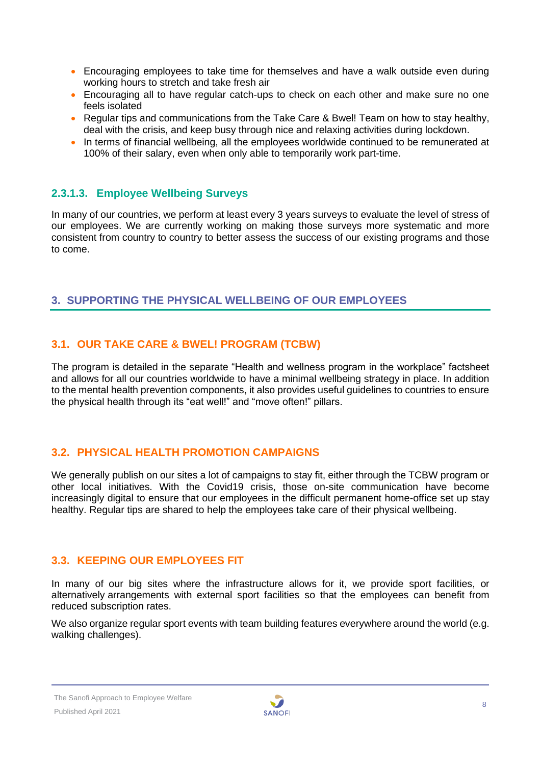- Encouraging employees to take time for themselves and have a walk outside even during working hours to stretch and take fresh air
- Encouraging all to have regular catch-ups to check on each other and make sure no one feels isolated
- Regular tips and communications from the Take Care & Bwel! Team on how to stay healthy, deal with the crisis, and keep busy through nice and relaxing activities during lockdown.
- In terms of financial wellbeing, all the employees worldwide continued to be remunerated at 100% of their salary, even when only able to temporarily work part-time.

# **2.3.1.3. Employee Wellbeing Surveys**

In many of our countries, we perform at least every 3 years surveys to evaluate the level of stress of our employees. We are currently working on making those surveys more systematic and more consistent from country to country to better assess the success of our existing programs and those to come.

#### <span id="page-7-0"></span>**3. SUPPORTING THE PHYSICAL WELLBEING OF OUR EMPLOYEES**

# <span id="page-7-1"></span>**3.1. OUR TAKE CARE & BWEL! PROGRAM (TCBW)**

The program is detailed in the separate "Health and wellness program in the workplace" factsheet and allows for all our countries worldwide to have a minimal wellbeing strategy in place. In addition to the mental health prevention components, it also provides useful guidelines to countries to ensure the physical health through its "eat well!" and "move often!" pillars.

#### <span id="page-7-2"></span>**3.2. PHYSICAL HEALTH PROMOTION CAMPAIGNS**

We generally publish on our sites a lot of campaigns to stay fit, either through the TCBW program or other local initiatives. With the Covid19 crisis, those on-site communication have become increasingly digital to ensure that our employees in the difficult permanent home-office set up stay healthy. Regular tips are shared to help the employees take care of their physical wellbeing.

#### <span id="page-7-3"></span>**3.3. KEEPING OUR EMPLOYEES FIT**

In many of our big sites where the infrastructure allows for it, we provide sport facilities, or alternatively arrangements with external sport facilities so that the employees can benefit from reduced subscription rates.

We also organize regular sport events with team building features everywhere around the world (e.g. walking challenges).

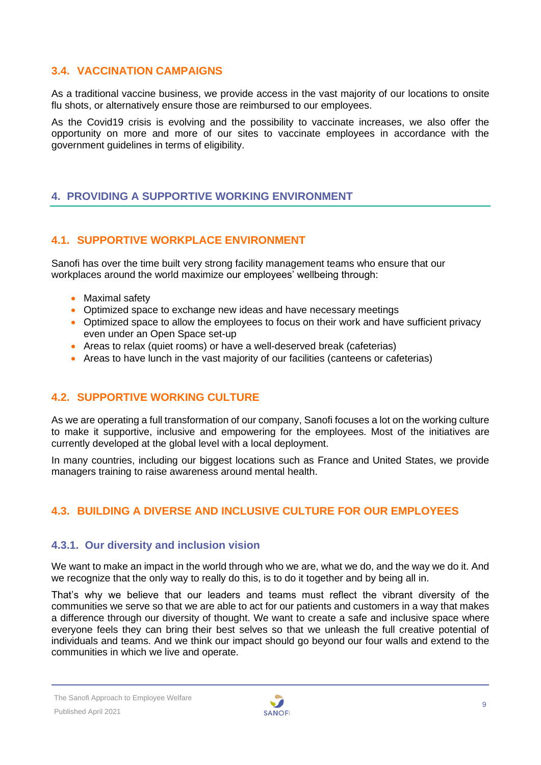#### <span id="page-8-0"></span>**3.4. VACCINATION CAMPAIGNS**

As a traditional vaccine business, we provide access in the vast majority of our locations to onsite flu shots, or alternatively ensure those are reimbursed to our employees.

As the Covid19 crisis is evolving and the possibility to vaccinate increases, we also offer the opportunity on more and more of our sites to vaccinate employees in accordance with the government guidelines in terms of eligibility.

#### <span id="page-8-1"></span>**4. PROVIDING A SUPPORTIVE WORKING ENVIRONMENT**

# <span id="page-8-2"></span>**4.1. SUPPORTIVE WORKPLACE ENVIRONMENT**

Sanofi has over the time built very strong facility management teams who ensure that our workplaces around the world maximize our employees' wellbeing through:

- Maximal safety
- Optimized space to exchange new ideas and have necessary meetings
- Optimized space to allow the employees to focus on their work and have sufficient privacy even under an Open Space set-up
- Areas to relax (quiet rooms) or have a well-deserved break (cafeterias)
- <span id="page-8-3"></span>• Areas to have lunch in the vast majority of our facilities (canteens or cafeterias)

#### **4.2. SUPPORTIVE WORKING CULTURE**

As we are operating a full transformation of our company, Sanofi focuses a lot on the working culture to make it supportive, inclusive and empowering for the employees. Most of the initiatives are currently developed at the global level with a local deployment.

In many countries, including our biggest locations such as France and United States, we provide managers training to raise awareness around mental health.

#### <span id="page-8-4"></span>**4.3. BUILDING A DIVERSE AND INCLUSIVE CULTURE FOR OUR EMPLOYEES**

#### **4.3.1. Our diversity and inclusion vision**

We want to make an impact in the world through who we are, what we do, and the way we do it. And we recognize that the only way to really do this, is to do it together and by being all in.

That's why we believe that our leaders and teams must reflect the vibrant diversity of the communities we serve so that we are able to act for our patients and customers in a way that makes a difference through our diversity of thought. We want to create a safe and inclusive space where everyone feels they can bring their best selves so that we unleash the full creative potential of individuals and teams. And we think our impact should go beyond our four walls and extend to the communities in which we live and operate.

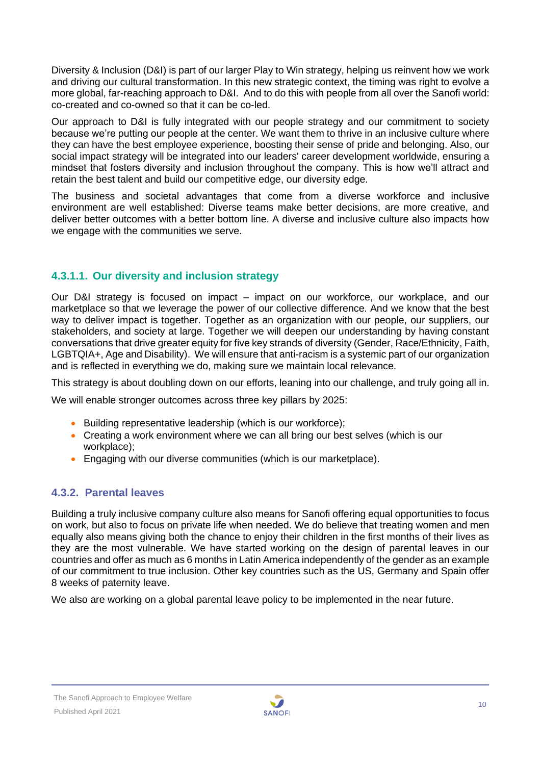Diversity & Inclusion (D&I) is part of our larger Play to Win strategy, helping us reinvent how we work and driving our cultural transformation. In this new strategic context, the timing was right to evolve a more global, far-reaching approach to D&I. And to do this with people from all over the Sanofi world: co-created and co-owned so that it can be co-led.

Our approach to D&I is fully integrated with our people strategy and our commitment to society because we're putting our people at the center. We want them to thrive in an inclusive culture where they can have the best employee experience, boosting their sense of pride and belonging. Also, our social impact strategy will be integrated into our leaders' career development worldwide, ensuring a mindset that fosters diversity and inclusion throughout the company. This is how we'll attract and retain the best talent and build our competitive edge, our diversity edge.

The business and societal advantages that come from a diverse workforce and inclusive environment are well established: Diverse teams make better decisions, are more creative, and deliver better outcomes with a better bottom line. A diverse and inclusive culture also impacts how we engage with the communities we serve.

# **4.3.1.1. Our diversity and inclusion strategy**

Our D&I strategy is focused on impact – impact on our workforce, our workplace, and our marketplace so that we leverage the power of our collective difference. And we know that the best way to deliver impact is together. Together as an organization with our people, our suppliers, our stakeholders, and society at large. Together we will deepen our understanding by having constant conversations that drive greater equity for five key strands of diversity (Gender, Race/Ethnicity, Faith, LGBTQIA+, Age and Disability). We will ensure that anti-racism is a systemic part of our organization and is reflected in everything we do, making sure we maintain local relevance.

This strategy is about doubling down on our efforts, leaning into our challenge, and truly going all in.

We will enable stronger outcomes across three key pillars by 2025:

- Building representative leadership (which is our workforce):
- Creating a work environment where we can all bring our best selves (which is our workplace);
- Engaging with our diverse communities (which is our marketplace).

#### **4.3.2. Parental leaves**

Building a truly inclusive company culture also means for Sanofi offering equal opportunities to focus on work, but also to focus on private life when needed. We do believe that treating women and men equally also means giving both the chance to enjoy their children in the first months of their lives as they are the most vulnerable. We have started working on the design of parental leaves in our countries and offer as much as 6 months in Latin America independently of the gender as an example of our commitment to true inclusion. Other key countries such as the US, Germany and Spain offer 8 weeks of paternity leave.

We also are working on a global parental leave policy to be implemented in the near future.